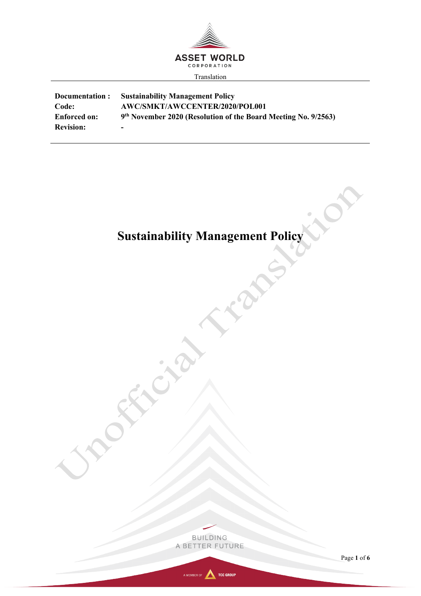

| Documentation:      | <b>Sustainability Management Policy</b>                                    |
|---------------------|----------------------------------------------------------------------------|
| Code:               | AWC/SMKT/AWCCENTER/2020/POL001                                             |
| <b>Enforced on:</b> | 9 <sup>th</sup> November 2020 (Resolution of the Board Meeting No. 9/2563) |
| <b>Revision:</b>    |                                                                            |

# **Sustainability Management Policy**

225

LON.



EX

C

ENC

Page **1** of **6**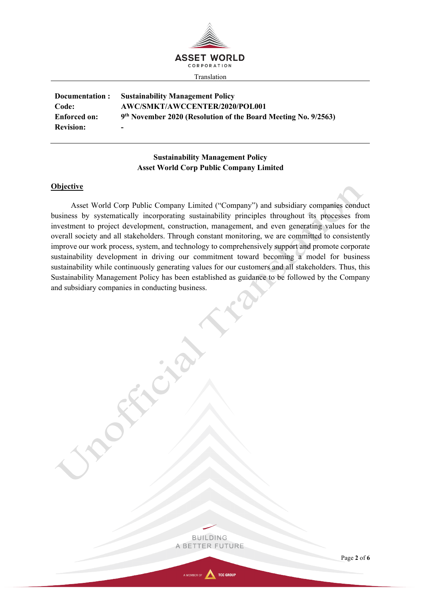

| Documentation:      | <b>Sustainability Management Policy</b>                                    |
|---------------------|----------------------------------------------------------------------------|
| Code:               | AWC/SMKT/AWCCENTER/2020/POL001                                             |
| <b>Enforced on:</b> | 9 <sup>th</sup> November 2020 (Resolution of the Board Meeting No. 9/2563) |
| <b>Revision:</b>    | -                                                                          |

# **Sustainability Management Policy Asset World Corp Public Company Limited**

#### **Objective**

Asset World Corp Public Company Limited ("Company") and subsidiary companies conduct business by systematically incorporating sustainability principles throughout its processes from investment to project development, construction, management, and even generating values for the overall society and all stakeholders. Through constant monitoring, we are committed to consistently improve our work process, system, and technology to comprehensively support and promote corporate sustainability development in driving our commitment toward becoming a model for business sustainability while continuously generating values for our customers and all stakeholders. Thus, this Sustainability Management Policy has been established as guidance to be followed by the Company and subsidiary companies in conducting business.

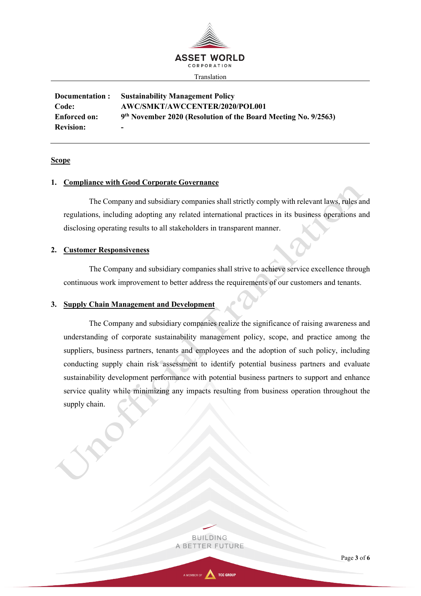

**Documentation : Sustainability Management Policy Code: AWC/SMKT/AWCCENTER/2020/POL001 Enforced on: 9th November 2020 (Resolution of the Board Meeting No. 9/2563) Revision:** 

## **Scope**

# **1. Compliance with Good Corporate Governance**

The Company and subsidiary companies shall strictly comply with relevant laws, rules and regulations, including adopting any related international practices in its business operations and disclosing operating results to all stakeholders in transparent manner.

#### **2. Customer Responsiveness**

The Company and subsidiary companies shall strive to achieve service excellence through continuous work improvement to better address the requirements of our customers and tenants.

### **3. Supply Chain Management and Development**

The Company and subsidiary companies realize the significance of raising awareness and understanding of corporate sustainability management policy, scope, and practice among the suppliers, business partners, tenants and employees and the adoption of such policy, including conducting supply chain risk assessment to identify potential business partners and evaluate sustainability development performance with potential business partners to support and enhance service quality while minimizing any impacts resulting from business operation throughout the supply chain.

> **BUILDING** A BETTER FUTURE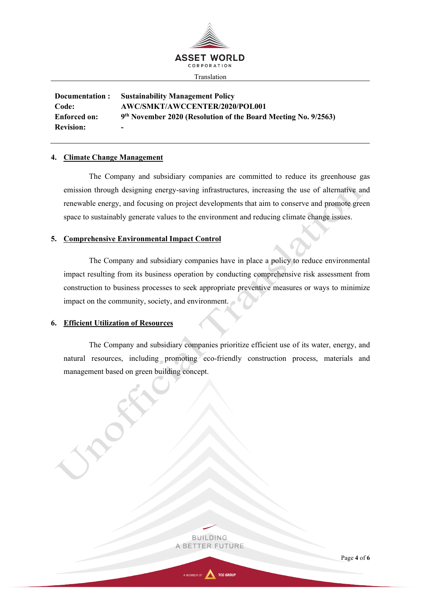

**Documentation : Sustainability Management Policy Code: AWC/SMKT/AWCCENTER/2020/POL001 Enforced on: 9th November 2020 (Resolution of the Board Meeting No. 9/2563) Revision:** 

# **4. Climate Change Management**

The Company and subsidiary companies are committed to reduce its greenhouse gas emission through designing energy-saving infrastructures, increasing the use of alternative and renewable energy, and focusing on project developments that aim to conserve and promote green space to sustainably generate values to the environment and reducing climate change issues.

# **5. Comprehensive Environmental Impact Control**

The Company and subsidiary companies have in place a policy to reduce environmental impact resulting from its business operation by conducting comprehensive risk assessment from construction to business processes to seek appropriate preventive measures or ways to minimize impact on the community, society, and environment.

### **6. Efficient Utilization of Resources**

The Company and subsidiary companies prioritize efficient use of its water, energy, and natural resources, including promoting eco-friendly construction process, materials and management based on green building concept.

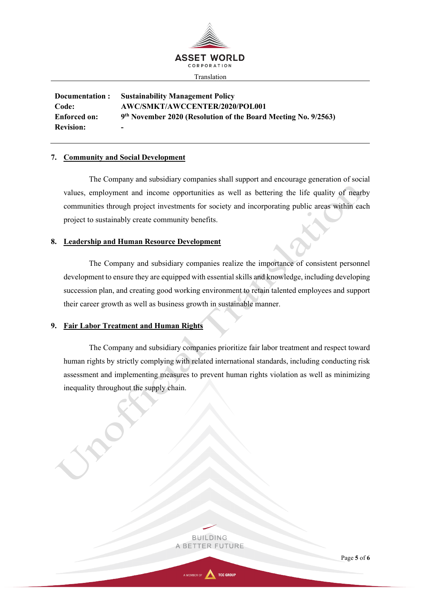

**Documentation : Sustainability Management Policy Code: AWC/SMKT/AWCCENTER/2020/POL001 Enforced on: 9th November 2020 (Resolution of the Board Meeting No. 9/2563) Revision:** 

# **7. Community and Social Development**

The Company and subsidiary companies shall support and encourage generation of social values, employment and income opportunities as well as bettering the life quality of nearby communities through project investments for society and incorporating public areas within each project to sustainably create community benefits.

# **8. Leadership and Human Resource Development**

The Company and subsidiary companies realize the importance of consistent personnel development to ensure they are equipped with essential skills and knowledge, including developing succession plan, and creating good working environment to retain talented employees and support their career growth as well as business growth in sustainable manner.

# **9. Fair Labor Treatment and Human Rights**

The Company and subsidiary companies prioritize fair labor treatment and respect toward human rights by strictly complying with related international standards, including conducting risk assessment and implementing measures to prevent human rights violation as well as minimizing inequality throughout the supply chain.